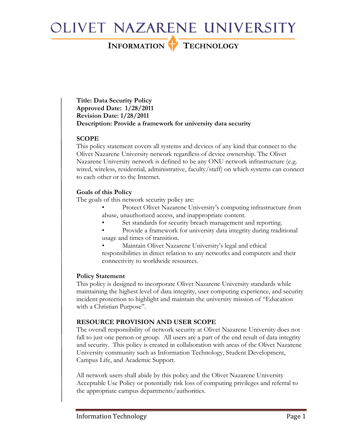# OLIVET NAZARENE UNIVERSITY

INFORMATION TECHNOLOGY

Title: Data Security Policy Approved Date: 1/28/2011 Revision Date: 1/28/2011 Description: Provide a framework for university data security

## **SCOPE**

This policy statement covers all systems and devices of any kind that connect to the Olivet Nazarene University network regardless of device ownership. The Olivet Nazarene University network is defined to be any ONU network infrastructure (e.g. wired, wireless, residential, administrative, faculty/staff) on which systems can connect to each other or to the Internet.

## Goals of this Policy

The goals of this network security policy are:

- Protect Olivet Nazarene University's computing infrastructure from abuse, unauthorized access, and inappropriate content.
	- Set standards for security breach management and reporting.
- Provide a framework for university data integrity during traditional usage and times of transition.

• Maintain Olivet Nazarene University's legal and ethical responsibilities in direct relation to any networks and computers and their connectivity to worldwide resources.

## Policy Statement

This policy is designed to incorporate Olivet Nazarene University standards while maintaining the highest level of data integrity, user computing experience, and security incident protection to highlight and maintain the university mission of "Education with a Christian Purpose".

## RESOURCE PROVISION AND USER SCOPE

The overall responsibility of network security at Olivet Nazarene University does not fall to just one person or group. All users are a part of the end result of data integrity and security. This policy is created in collaboration with areas of the Olivet Nazarene University community such as Information Technology, Student Development, Campus Life, and Academic Support.

All network users shall abide by this policy and the Olivet Nazarene University Acceptable Use Policy or potentially risk loss of computing privileges and referral to the appropriate campus departments/authorities.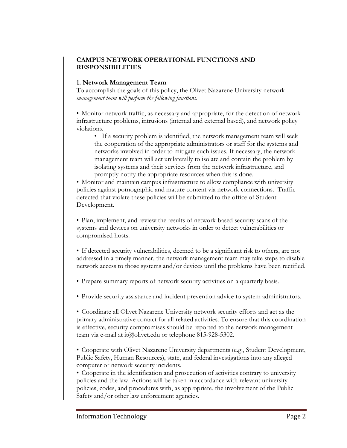### CAMPUS NETWORK OPERATIONAL FUNCTIONS AND RESPONSIBILITIES

#### 1. Network Management Team

To accomplish the goals of this policy, the Olivet Nazarene University network management team will perform the following functions.

• Monitor network traffic, as necessary and appropriate, for the detection of network infrastructure problems, intrusions (internal and external based), and network policy violations.

• If a security problem is identified, the network management team will seek the cooperation of the appropriate administrators or staff for the systems and networks involved in order to mitigate such issues. If necessary, the network management team will act unilaterally to isolate and contain the problem by isolating systems and their services from the network infrastructure, and promptly notify the appropriate resources when this is done.

• Monitor and maintain campus infrastructure to allow compliance with university policies against pornographic and mature content via network connections. Traffic detected that violate these policies will be submitted to the office of Student Development.

• Plan, implement, and review the results of network-based security scans of the systems and devices on university networks in order to detect vulnerabilities or compromised hosts.

• If detected security vulnerabilities, deemed to be a significant risk to others, are not addressed in a timely manner, the network management team may take steps to disable network access to those systems and/or devices until the problems have been rectified.

- Prepare summary reports of network security activities on a quarterly basis.
- Provide security assistance and incident prevention advice to system administrators.

• Coordinate all Olivet Nazarene University network security efforts and act as the primary administrative contact for all related activities. To ensure that this coordination is effective, security compromises should be reported to the network management team via e-mail at it@olivet.edu or telephone 815-928-5302.

• Cooperate with Olivet Nazarene University departments (e.g., Student Development, Public Safety, Human Resources), state, and federal investigations into any alleged computer or network security incidents.

• Cooperate in the identification and prosecution of activities contrary to university policies and the law. Actions will be taken in accordance with relevant university policies, codes, and procedures with, as appropriate, the involvement of the Public Safety and/or other law enforcement agencies.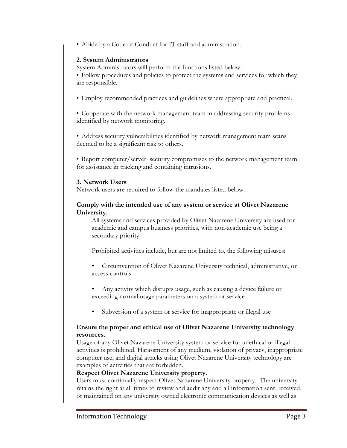• Abide by a Code of Conduct for IT staff and administration.

#### 2. System Administrators

System Administrators will perform the functions listed below:

• Follow procedures and policies to protect the systems and services for which they are responsible.

• Employ recommended practices and guidelines where appropriate and practical.

• Cooperate with the network management team in addressing security problems identified by network monitoring.

• Address security vulnerabilities identified by network management team scans deemed to be a significant risk to others.

• Report computer/server security compromises to the network management team for assistance in tracking and containing intrusions.

#### 3. Network Users

Network users are required to follow the mandates listed below.

#### Comply with the intended use of any system or service at Olivet Nazarene University.

All systems and services provided by Olivet Nazarene University are used for academic and campus business priorities, with non-academic use being a secondary priority.

Prohibited activities include, but are not limited to, the following misuses:

- Circumvention of Olivet Nazarene University technical, administrative, or access controls
- Any activity which disrupts usage, such as causing a device failure or exceeding normal usage parameters on a system or service
- Subversion of a system or service for inappropriate or illegal use

#### Ensure the proper and ethical use of Olivet Nazarene University technology resources.

Usage of any Olivet Nazarene University system or service for unethical or illegal activities is prohibited. Harassment of any medium, violation of privacy, inappropriate computer use, and digital attacks using Olivet Nazarene University technology are examples of activities that are forbidden.

#### Respect Olivet Nazarene University property.

Users must continually respect Olivet Nazarene University property. The university retains the right at all times to review and audit any and all information sent, received, or maintained on any university owned electronic communication devices as well as